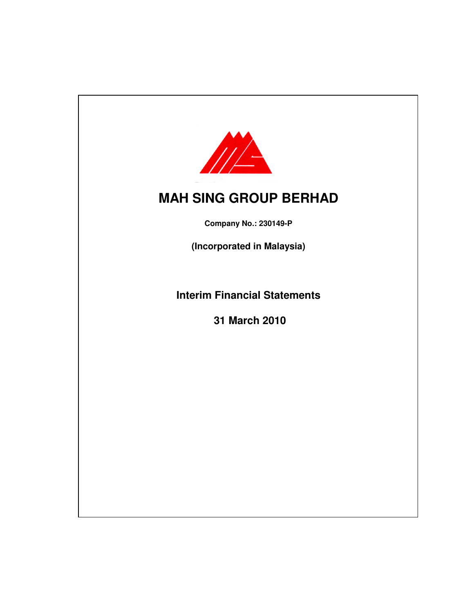

**Company No.: 230149-P**

**(Incorporated in Malaysia)**

**Interim Financial Statements**

**31 March 2010**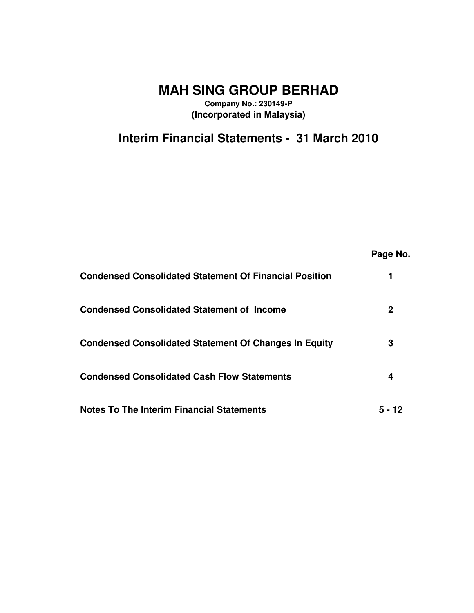**Company No.: 230149-P (Incorporated in Malaysia)**

**Interim Financial Statements - 31 March 2010**

|                                                               | Page No. |
|---------------------------------------------------------------|----------|
| <b>Condensed Consolidated Statement Of Financial Position</b> |          |
| <b>Condensed Consolidated Statement of Income</b>             | 2        |
| <b>Condensed Consolidated Statement Of Changes In Equity</b>  | 3        |
| <b>Condensed Consolidated Cash Flow Statements</b>            | 4        |
| <b>Notes To The Interim Financial Statements</b>              | 5 - 12   |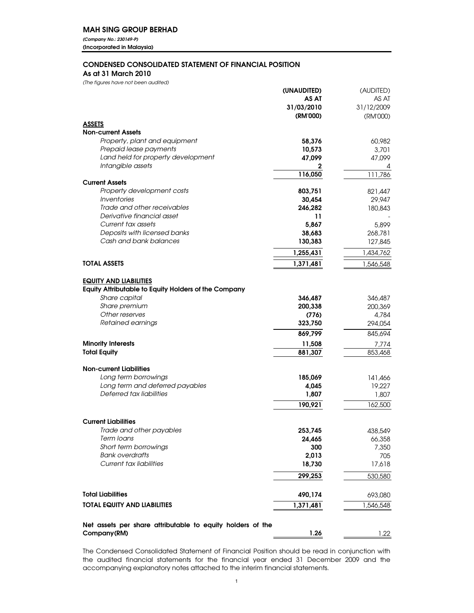*(Company No.: 230149-P)* (Incorporated in Malaysia)

### CONDENSED CONSOLIDATED STATEMENT OF FINANCIAL POSITION

As at 31 March 2010

*(The figures have not been audited)*

|                                                             | (UNAUDITED)  | (AUDITED)        |
|-------------------------------------------------------------|--------------|------------------|
|                                                             | AS AT        | AS AT            |
|                                                             | 31/03/2010   | 31/12/2009       |
|                                                             | (RM'000)     | (RM'000)         |
| <b>ASSETS</b>                                               |              |                  |
| <b>Non-current Assets</b>                                   |              |                  |
| Property, plant and equipment                               | 58,376       | 60,982           |
| Prepaid lease payments                                      | 10,573       | 3,701            |
| Land held for property development                          | 47,099       | 47,099           |
| Intangible assets                                           | $\mathbf{2}$ | 4                |
|                                                             | 116,050      | 111,786          |
| <b>Current Assets</b>                                       |              |                  |
| Property development costs                                  | 803,751      | 821,447          |
| Inventories                                                 | 30,454       | 29,947           |
| Trade and other receivables                                 | 246,282      | 180,843          |
| Derivative financial asset                                  | 11           |                  |
| Current tax assets                                          | 5,867        | 5,899            |
| Deposits with licensed banks<br>Cash and bank balances      | 38,683       | 268,781          |
|                                                             | 130,383      | 127,845          |
|                                                             | 1,255,431    | 1,434,762        |
| <b>TOTAL ASSETS</b>                                         | 1,371,481    | 1,546,548        |
|                                                             |              |                  |
| <b>EQUITY AND LIABILITIES</b>                               |              |                  |
| <b>Equity Attributable to Equity Holders of the Company</b> |              |                  |
| Share capital                                               | 346,487      | 346,487          |
| Share premium                                               | 200,338      | 200,369          |
| Other reserves                                              | (776)        | 4,784            |
| Retained earnings                                           | 323,750      | 294,054          |
|                                                             | 869,799      | 845,694          |
| <b>Minority Interests</b>                                   | 11,508       |                  |
| <b>Total Equity</b>                                         | 881,307      | 7,774<br>853,468 |
|                                                             |              |                  |
| <b>Non-current Liabilities</b>                              |              |                  |
| Long term borrowings                                        | 185,069      | 141,466          |
| Long term and deferred payables                             | 4,045        | 19,227           |
| Deferred tax liabilities                                    | 1,807        | 1,807            |
|                                                             | 190,921      | 162,500          |
|                                                             |              |                  |
| <b>Current Liabilities</b>                                  |              |                  |
| Trade and other payables                                    | 253,745      | 438,549          |
| Term Ioans                                                  | 24,465       | 66,358           |
| Short term borrowings                                       | 300          | 7,350            |
| <b>Bank overdrafts</b>                                      | 2,013        | 705              |
| Current tax liabilities                                     | 18,730       | 17,618           |
|                                                             |              |                  |
|                                                             | 299.253      | 530,580          |
| <b>Total Liabilities</b>                                    | 490,174      | 693,080          |
|                                                             |              |                  |
| TOTAL EQUITY AND LIABILITIES                                | 1,371,481    | 1,546,548        |
|                                                             |              |                  |
| Net assets per share attributable to equity holders of the  |              |                  |
| Company(RM)                                                 | 1.26         | 1.22             |

The Condensed Consolidated Statement of Financial Position should be read in conjunction with the audited financial statements for the financial year ended 31 December 2009 and the accompanying explanatory notes attached to the interim financial statements.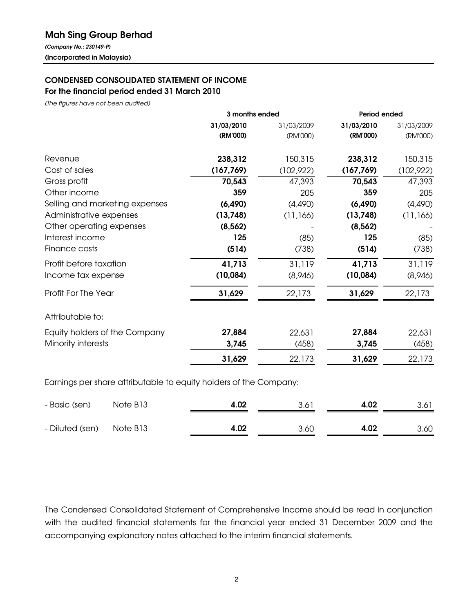# Mah Sing Group Berhad

*(Company No.: 230149-P)* (Incorporated in Malaysia)

# CONDENSED CONSOLIDATED STATEMENT OF INCOME

For the financial period ended 31 March 2010

*(The figures have not been audited)*

|                                | 3 months ended |            | <b>Period ended</b> |            |
|--------------------------------|----------------|------------|---------------------|------------|
|                                | 31/03/2010     | 31/03/2009 | 31/03/2010          | 31/03/2009 |
|                                | (RM'000)       | (RM'000)   | (RM'000)            | (RM'000)   |
| Revenue                        | 238,312        | 150,315    | 238,312             | 150,315    |
| Cost of sales                  | (167, 769)     | (102,922)  | (167, 769)          | (102,922)  |
| Gross profit                   | 70,543         | 47,393     | 70,543              | 47,393     |
| Other income                   | 359            | 205        | 359                 | 205        |
| Selling and marketing expenses | (6, 490)       | (4,490)    | (6, 490)            | (4,490)    |
| Administrative expenses        | (13,748)       | (11,166)   | (13,748)            | (11,166)   |
| Other operating expenses       | (8, 562)       |            | (8, 562)            |            |
| Interest income                | 125            | (85)       | 125                 | (85)       |
| Finance costs                  | (514)          | (738)      | (514)               | (738)      |
| Profit before taxation         | 41,713         | 31,119     | 41,713              | 31,119     |
| Income tax expense             | (10,084)       | (8,946)    | (10,084)            | (8,946)    |
| Profit For The Year            | 31,629         | 22,173     | 31,629              | 22,173     |
| Attributable to:               |                |            |                     |            |
| Equity holders of the Company  | 27,884         | 22,631     | 27,884              | 22,631     |
| Minority interests             | 3,745          | (458)      | 3,745               | (458)      |
|                                | 31,629         | 22,173     | 31,629              | 22,173     |
|                                |                |            |                     |            |

Earnings per share attributable to equity holders of the Company:

| - Basic (sen)   | Note B13 | 4.02 | 3.61 | 4.02 | 3.61 |
|-----------------|----------|------|------|------|------|
| - Diluted (sen) | Note B13 | 4.02 | 3.60 | 4.02 | 3.60 |

The Condensed Consolidated Statement of Comprehensive Income should be read in conjunction with the audited financial statements for the financial year ended 31 December 2009 and the accompanying explanatory notes attached to the interim financial statements.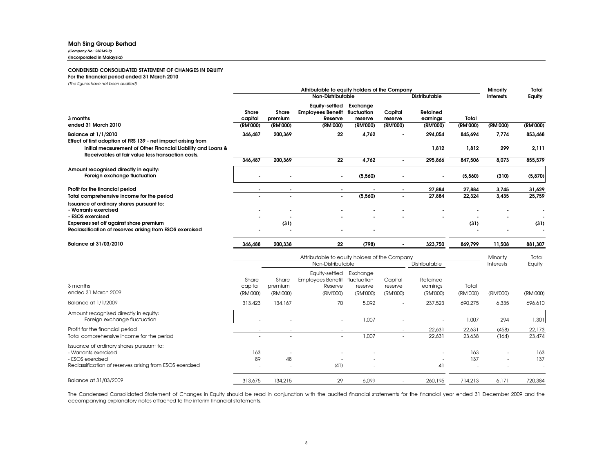#### Mah Sing Group Berhad

*(Company No.: 230149-P)* (Incorporated in Malaysia)

#### CONDENSED CONSOLIDATED STATEMENT OF CHANGES IN EQUITY

#### For the financial period ended 31 March 2010

*(The figures have not been audited)*

|                                                                                                                                                             | Attributable to equity holders of the Company |                     |                                                              |                                    | Minority            | Total                |                   |                  |                  |
|-------------------------------------------------------------------------------------------------------------------------------------------------------------|-----------------------------------------------|---------------------|--------------------------------------------------------------|------------------------------------|---------------------|----------------------|-------------------|------------------|------------------|
|                                                                                                                                                             |                                               |                     | Non-Distributable                                            |                                    |                     | <b>Distributable</b> |                   | <b>Interests</b> | Equity           |
| 3 months                                                                                                                                                    | Share<br>capital                              | Share<br>premium    | <b>Equity-settled</b><br><b>Employees Benefit</b><br>Reserve | Exchange<br>fluctuation<br>reserve | Capital<br>reserve  | Retained<br>earnings | Total             |                  |                  |
| ended 31 March 2010                                                                                                                                         | (RM'000)                                      | (RM'000)            | (RM'000)                                                     | (RM'000)                           | (RM'000)            | (RM'000)             | (RM'000)          | (RM'000)         | (RM'000)         |
| <b>Balance at 1/1/2010</b><br>Effect of first adoption of FRS 139 - net impact arising from<br>initial measurement of Other Financial Liability and Loans & | 346,487                                       | 200,369             | 22                                                           | 4,762                              |                     | 294,054<br>1,812     | 845,694<br>1,812  | 7,774<br>299     | 853,468<br>2,111 |
| Receivables at fair value less transaction costs.                                                                                                           | 346,487                                       | 200,369             | 22                                                           | 4,762                              | $\sim$              | 295,866              | 847,506           | 8,073            | 855,579          |
| Amount recognised directly in equity:<br>Foreign exchange fluctuation                                                                                       |                                               |                     |                                                              | (5,560)                            |                     |                      | (5,560)           | (310)            | (5, 870)         |
| Profit for the financial period                                                                                                                             |                                               |                     |                                                              |                                    |                     | 27,884               | 27,884            | 3,745            | 31,629           |
| Total comprehensive income for the period                                                                                                                   |                                               |                     | $\overline{a}$                                               | (5,560)                            |                     | 27.884               | 22,324            | 3,435            | 25,759           |
| Issuance of ordinary shares pursuant to:<br>- Warrants exercised<br>- ESOS exercised                                                                        |                                               |                     |                                                              |                                    |                     |                      |                   |                  |                  |
| Expenses set off against share premium<br>Reclassification of reserves arising from ESOS exercised                                                          |                                               | (31)                |                                                              |                                    |                     |                      | (31)              |                  | (31)             |
| Balance at 31/03/2010                                                                                                                                       | 346,488                                       | 200,338             | 22                                                           | (798)                              |                     | 323,750              | 869,799           | 11,508           | 881,307          |
|                                                                                                                                                             |                                               |                     | Attributable to equity holders of the Company                |                                    |                     |                      |                   | Minority         | Total            |
|                                                                                                                                                             |                                               |                     | Non-Distributable                                            |                                    |                     | Distributable        |                   | <b>Interests</b> | Equity           |
|                                                                                                                                                             | Share                                         | Share               | Equity-settled Exchange<br>Employees Benefit fluctuation     |                                    | Capital             | Retained             |                   |                  |                  |
| 3 months<br>ended 31 March 2009                                                                                                                             | capital<br>(RM'000)                           | premium<br>(RM'000) | Reserve<br>(RM'000)                                          | reserve<br>(RM'000)                | reserve<br>(RM'000) | earnings<br>(RM'000) | Total<br>(RM'000) | (RM'000)         | (RM'000)         |
| Balance at 1/1/2009                                                                                                                                         | 313,423                                       | 134,167             | 70                                                           | 5.092                              | $\overline{a}$      | 237,523              | 690,275           | 6,335            | 696,610          |
| Amount recognised directly in equity:<br>Foreign exchange fluctuation                                                                                       |                                               |                     |                                                              | 1,007                              |                     |                      | 1,007             | 294              | 1,301            |
| Profit for the financial period                                                                                                                             |                                               |                     |                                                              |                                    |                     | 22,631               | 22,631            | (458)            | 22,173           |
| Total comprehensive income for the period                                                                                                                   |                                               |                     |                                                              | 1.007                              |                     | 22.631               | 23.638            | (164)            | 23,474           |
| Issuance of ordinary shares pursuant to:<br>- Warrants exercised<br>- ESOS exercised<br>Reclassification of reserves arising from ESOS exercised            | 163<br>89                                     | 48                  | (41)                                                         |                                    |                     | 41                   | 163<br>137        |                  | 163<br>137       |
| Balance at 31/03/2009                                                                                                                                       | 313,675                                       | 134,215             | 29                                                           | 6.099                              |                     | 260,195              | 714,213           | 6.171            | 720,384          |

The Condensed Consolidated Statement of Changes in Equity should be read in conjunction with the audited financial statements for the financial year ended 31 December 2009 and the accompanying explanatory notes attached to the interim financial statements.